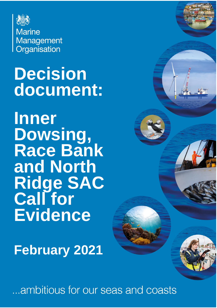

**Marine** Management Organisation

# **Decision document:**

**Inner Dowsing, Race Bank and North Ridge SAC Call for Evidence**

**February 2021**

...ambitious for our seas and coasts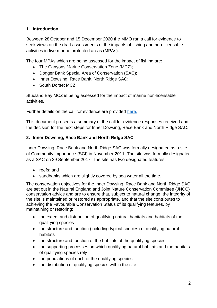# **1. Introduction**

Between 28 October and 15 December 2020 the MMO ran a call for evidence to seek views on the draft assessments of the impacts of fishing and non-licensable activities in five marine protected areas (MPAs).

The four MPAs which are being assessed for the impact of fishing are:

- The Canyons Marine Conservation Zone (MCZ);
- Dogger Bank Special Area of Conservation (SAC);
- Inner Dowsing, Race Bank, North Ridge SAC;
- South Dorset MCZ.

Studland Bay MCZ is being assessed for the impact of marine non-licensable activities.

Further details on the call for evidence are provided [here.](https://www.gov.uk/government/publications/managing-fisheries-in-marine-protection-areas-call-for-evidence)

This document presents a summary of the call for evidence responses received and the decision for the next steps for Inner Dowsing, Race Bank and North Ridge SAC.

## **2. Inner Dowsing, Race Bank and North Ridge SAC**

Inner Dowsing, Race Bank and North Ridge SAC was formally designated as a site of Community importance (SCI) in November 2011. The site was formally designated as a SAC on 29 September 2017. The site has two designated features:

- reefs; and
- sandbanks which are slightly covered by sea water all the time.

The conservation objectives for the Inner Dowsing, Race Bank and North Ridge SAC are set out in the Natural England and Joint Nature Conservation Committee (JNCC) conservation advice and are to ensure that, subject to natural change, the integrity of the site is maintained or restored as appropriate, and that the site contributes to achieving the Favourable Conservation Status of its qualifying features, by maintaining or restoring:

- the extent and distribution of qualifying natural habitats and habitats of the qualifying species
- the structure and function (including typical species) of qualifying natural habitats
- the structure and function of the habitats of the qualifying species
- the supporting processes on which qualifying natural habitats and the habitats of qualifying species rely
- the populations of each of the qualifying species
- the distribution of qualifying species within the site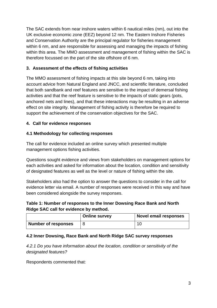The SAC extends from near inshore waters within 6 nautical miles (nm), out into the UK exclusive economic zone (EEZ) beyond 12 nm. The Eastern Inshore Fisheries and Conservation Authority are the principal regulator for fisheries management within 6 nm, and are responsible for assessing and managing the impacts of fishing within this area. The MMO assessment and management of fishing within the SAC is therefore focussed on the part of the site offshore of 6 nm.

# **3. Assessment of the effects of fishing activities**

The MMO assessment of fishing impacts at this site beyond 6 nm, taking into account advice from Natural England and JNCC, and scientific literature, concluded that both sandbank and reef features are sensitive to the impact of demersal fishing activities and that the reef feature is sensitive to the impacts of static gears (pots, anchored nets and lines), and that these interactions may be resulting in an adverse effect on site integrity. Management of fishing activity is therefore be required to support the achievement of the conservation objectives for the SAC.

# **4. Call for evidence responses**

# **4.1 Methodology for collecting responses**

The call for evidence included an online survey which presented multiple management options fishing activities.

Questions sought evidence and views from stakeholders on management options for each activities and asked for information about the location, condition and sensitivity of designated features as well as the level or nature of fishing within the site.

Stakeholders also had the option to answer the questions to consider in the call for evidence letter via email. A number of responses were received in this way and have been considered alongside the survey responses.

# **Table 1: Number of responses to the Inner Dowsing Race Bank and North Ridge SAC call for evidence by method.**

|                            | <b>Online survey</b> | <b>Novel email responses</b> |
|----------------------------|----------------------|------------------------------|
| <b>Number of responses</b> |                      |                              |

# **4.2 Inner Dowsing, Race Bank and North Ridge SAC survey responses**

*4.2.1 Do you have information about the location, condition or sensitivity of the designated features?*

Respondents commented that: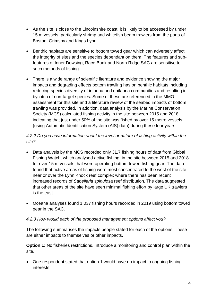- As the site is close to the Lincolnshire coast, it is likely to be accessed by under 15 m vessels, particularly shrimp and whitefish beam trawlers from the ports of Boston, Grimsby and Kings Lynn.
- Benthic habitats are sensitive to bottom towed gear which can adversely affect the integrity of sites and the species dependant on them. The features and subfeatures of Inner Dowsing, Race Bank and North Ridge SAC are sensitive to such methods of fishing.
- There is a wide range of scientific literature and evidence showing the major impacts and degrading effects bottom trawling has on benthic habitats including reducing species diversity of infauna and epifauna communities and resulting in bycatch of non-target species. Some of these are referenced in the MMO assessment for this site and a literature review of the seabed impacts of bottom trawling was provided. In addition, data analysis by the Marine Conservation Society (MCS) calculated fishing activity in the site between 2015 and 2018, indicating that just under 50% of the site was fished by over 15 metre vessels (using Automatic Identification System (AIS) data) during these four years.

# *4.2.2 Do you have information about the level or nature of fishing activity within the site?*

- Data analysis by the MCS recorded only 31.7 fishing hours of data from Global Fishing Watch, which analysed active fishing, in the site between 2015 and 2018 for over 15 m vessels that were operating bottom towed fishing gear. The data found that active areas of fishing were most concentrated to the west of the site near or over the Lynn Knock reef complex where there has been recent increased records of *Sabellaria spinulosa* reef distribution. The data suggested that other areas of the site have seen minimal fishing effort by large UK trawlers is the east.
- Oceana analyses found 1,037 fishing hours recorded in 2019 using bottom towed gear in the SAC.

#### *4.2.3 How would each of the proposed management options affect you?*

The following summarises the impacts people stated for each of the options. These are either impacts to themselves or other impacts.

**Option 1:** No fisheries restrictions. Introduce a monitoring and control plan within the site.

• One respondent stated that option 1 would have no impact to ongoing fishing interests.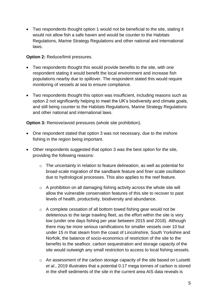Two respondents thought option 1 would not be beneficial to the site, stating it would not allow fish a safe haven and would be counter to the Habitats Regulations, Marine Strategy Regulations and other national and international laws.

**Option 2:** Reduce/limit pressures.

- Two respondents thought this would provide benefits to the site, with one respondent stating it would benefit the local environment and increase fish populations nearby due to spillover. The respondent stated this would require monitoring of vessels at sea to ensure compliance.
- Two respondents thought this option was insufficient, including reasons such as option 2 not significantly helping to meet the UK's biodiversity and climate goals, and still being counter to the Habitats Regulations, Marine Strategy Regulations and other national and international laws.

**Option 3:** Remove/avoid pressures (whole site prohibition).

- One respondent stated that option 3 was not necessary, due to the inshore fishing in the region being important.
- Other respondents suggested that option 3 was the best option for the site, providing the following reasons:
	- o The uncertainty in relation to feature delineation, as well as potential for broad-scale migration of the sandbank feature and finer scale oscillation due to hydrological processes. This also applies to the reef feature.
	- o A prohibition on all damaging fishing activity across the whole site will allow the vulnerable conservation features of this site to recover to past levels of health, productivity, biodiversity and abundance.
	- o A complete cessation of all bottom towed fishing gear would not be deleterious to the large trawling fleet, as the effort within the site is very low (under one days fishing per year between 2015 and 2018). Although there may be more serious ramifications for smaller vessels over 10 but under 15 m that steam from the coast of Lincolnshire, South Yorkshire and Norfolk, the balance of socio-economics of restriction of the site to the benefits to the seafloor, carbon sequestration and storage capacity of the site would outweigh any small restriction to access to local fishing vessels.
	- o An assessment of the carbon storage capacity of the site based on Luisetti *et al*., 2019 illustrates that a potential 0.17 mega tonnes of carbon is stored in the shelf sediments of the site in the current area AIS data reveals is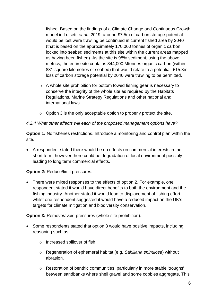fished. Based on the findings of a Climate Change and Continuous Growth model in Luisetti *et al*., 2019, around £7.5m of carbon storage potential would be lost were trawling be continued in current fished area by 2040 (that is based on the approximately 170,000 tonnes of organic carbon locked into seabed sediments at this site within the current areas mapped as having been fished). As the site is 98% sediment, using the above metrics, the entire site contains 344,000 Mtonnes organic carbon (within 831 square kilometres of seabed) that would relate to a potential £15.3m loss of carbon storage potential by 2040 were trawling to be permitted.

- o A whole site prohibition for bottom towed fishing gear is necessary to conserve the integrity of the whole site as required by the Habitats Regulations, Marine Strategy Regulations and other national and international laws.
- $\circ$  Option 3 is the only acceptable option to properly protect the site.

## *4.2.4 What other effects will each of the proposed management options have?*

**Option 1:** No fisheries restrictions. Introduce a monitoring and control plan within the site.

 A respondent stated there would be no effects on commercial interests in the short term, however there could be degradation of local environment possibly leading to long term commercial effects.

**Option 2:** Reduce/limit pressures.

• There were mixed responses to the effects of option 2. For example, one respondent stated it would have direct benefits to both the environment and the fishing industry. Another stated it would lead to displacement of fishing effort whilst one respondent suggested it would have a reduced impact on the UK's targets for climate mitigation and biodiversity conservation.

**Option 3:** Remove/avoid pressures (whole site prohibition).

- Some respondents stated that option 3 would have positive impacts, including reasoning such as:
	- o Increased spillover of fish.
	- o Regeneration of ephemeral habitat (e.g. *Sabillaria spinulosa*) without abrasion.
	- o Restoration of benthic communities, particularly in more stable 'troughs' between sandbanks where shell gravel and some cobbles aggregate. This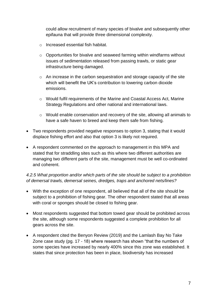could allow recruitment of many species of bivalve and subsequently other epifauna that will provide three dimensional complexity.

- o Increased essential fish habitat.
- o Opportunities for bivalve and seaweed farming within windfarms without issues of sedimentation released from passing trawls, or static gear infrastructure being damaged.
- o An increase in the carbon sequestration and storage capacity of the site which will benefit the UK's contribution to lowering carbon dioxide emissions.
- o Would fulfil requirements of the Marine and Coastal Access Act, Marine Strategy Regulations and other national and international laws.
- o Would enable conservation and recovery of the site, allowing all animals to have a safe haven to breed and keep them safe from fishing.
- Two respondents provided negative responses to option 3, stating that it would displace fishing effort and also that option 3 is likely not required.
- A respondent commented on the approach to management in this MPA and stated that for straddling sites such as this where two different authorities are managing two different parts of the site, management must be well co-ordinated and coherent.

## *4.2.5 What proportion and/or which parts of the site should be subject to a prohibition of demersal trawls, demersal seines, dredges, traps and anchored nets/lines?*

- With the exception of one respondent, all believed that all of the site should be subject to a prohibition of fishing gear. The other respondent stated that all areas with coral or sponges should be closed to fishing gear.
- Most respondents suggested that bottom towed gear should be prohibited across the site, although some respondents suggested a complete prohibition for all gears across the site.
- A respondent cited the Benyon Review (2019) and the Lamlash Bay No Take Zone case study (pg. 17 - 18) where research has shown "that the numbers of some species have increased by nearly 400% since this zone was established. It states that since protection has been in place, biodiversity has increased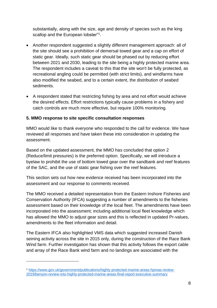substantially, along with the size, age and density of species such as the king scallop and the European lobster"<sup>1</sup> .

- Another respondent suggested a slightly different management approach: all of the site should see a prohibition of demersal towed gear and a cap on effort of static gear. Ideally, such static gear should be phased out by reducing effort between 2021 and 2030, leading to the site being a highly protected marine area. The respondent includes a caveat to this that the site won't be fully protected, as recreational angling could be permitted (with strict limits), and windfarms have also modified the seabed, and to a certain extent, the distribution of seabed sediments.
- A respondent stated that restricting fishing by area and not effort would achieve the desired effects. Effort restrictions typically cause problems in a fishery and catch controls are much more effective, but require 100% monitoring.

## **5. MMO response to site specific consultation responses**

MMO would like to thank everyone who responded to the call for evidence. We have reviewed all responses and have taken these into consideration in updating the assessment.

Based on the updated assessment, the MMO has concluded that option 2 (Reduce/limit pressures) is the preferred option. Specifically, we will introduce a byelaw to prohibit the use of bottom towed gear over the sandbank and reef features of the SAC, and the use of static gear fishing over the reef features.

This section sets out how new evidence received has been incorporated into the assessment and our response to comments received.

The MMO received a detailed representation from the Eastern Inshore Fisheries and Conservation Authority (IFCA) suggesting a number of amendments to the fisheries assessment based on their knowledge of the local fleet. The amendments have been incorporated into the assessment; including additional local fleet knowledge which has allowed the MMO to adjust gear sizes and this is reflected in updated Pr-values, amendments to the fleet information and detail.

The Eastern IFCA also highlighted VMS data which suggested increased Danish seining activity across the site in 2015 only, during the construction of the Race Bank Wind farm. Further investigation has shown that this activity follows the export cable and array of the Race Bank wind farm and no landings are associated with the

l

<sup>1</sup> [https://www.gov.uk/government/publications/highly-protected-marine-areas-hpmas-review-](https://www.gov.uk/government/publications/highly-protected-marine-areas-hpmas-review-2019/benyon-review-into-highly-protected-marine-areas-final-report-executive-summary)[2019/benyon-review-into-highly-protected-marine-areas-final-report-executive-summary](https://www.gov.uk/government/publications/highly-protected-marine-areas-hpmas-review-2019/benyon-review-into-highly-protected-marine-areas-final-report-executive-summary)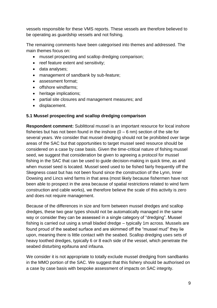vessels responsible for these VMS reports. These vessels are therefore believed to be operating as guardship vessels and not fishing.

The remaining comments have been categorised into themes and addressed. The main themes focus on:

- mussel prospecting and scallop dredging comparison;
- reef feature extent and sensitivity;
- data analyses;
- management of sandbank by sub-feature;
- assessment format;
- offshore windfarms:
- heritage implications;
- partial site closures and management measures; and
- displacement.

## **5.1 Mussel prospecting and scallop dredging comparison**

**Respondent comment:** Sublittoral mussel is an important resource for local inshore fisheries but has not been found in the inshore  $(0 - 6 \text{ nm})$  section of the site for several years. We consider that mussel dredging should not be prohibited over large areas of the SAC but that opportunities to target mussel seed resource should be considered on a case by case basis. Given the time-critical nature of fishing mussel seed, we suggest that consideration be given to agreeing a protocol for mussel fishing in the SAC that can be used to guide decision-making in quick time, as and when mussel seed is located. Mussel seed used to be fished fairly frequently off the Skegness coast but has not been found since the construction of the Lynn, Inner Dowsing and Lincs wind farms in that area (most likely because fishermen have not been able to prospect in the area because of spatial restrictions related to wind farm construction and cable works), we therefore believe the scale of this activity is zero and does not require management.

Because of the differences in size and form between mussel dredges and scallop dredges, these two gear types should not be automatically managed in the same way or consider they can be assessed in a single category of "dredging". Mussel fishing is carried out using a small bladed dredge – typically 1m across. Mussels are found proud of the seabed surface and are skimmed off the "mussel mud" they lie upon, meaning there is little contact with the seabed. Scallop dredging uses sets of heavy toothed dredges, typically 6 or 8 each side of the vessel, which penetrate the seabed disturbing epifauna and infauna.

We consider it is not appropriate to totally exclude mussel dredging from sandbanks in the MMO portion of the SAC. We suggest that this fishery should be authorised on a case by case basis with bespoke assessment of impacts on SAC integrity.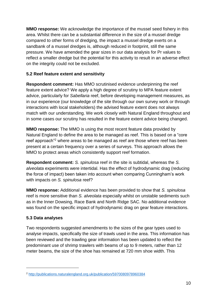**MMO response:** We acknowledge the importance of the mussel seed fishery in this area. Whilst there can be a substantial difference in the size of a mussel dredge compared to other forms of dredging, the impact a mussel dredge exerts on a sandbank of a mussel dredges is, although reduced in footprint, still the same pressure. We have amended the gear sizes in our data analysis for Pr values to reflect a smaller dredge but the potential for this activity to result in an adverse effect on the integrity could not be excluded.

## **5.2 Reef feature extent and sensitivity**

**Respondent comment:** Has MMO scrutinised evidence underpinning the reef feature extent advice? We apply a high degree of scrutiny to MPA feature extent advice, particularly for *Sabellaria* reef, before developing management measures, as in our experience (our knowledge of the site through our own survey work or through interactions with local stakeholders) the advised feature extent does not always match with our understanding. We work closely with Natural England throughout and in some cases our scrutiny has resulted in the feature extent advice being changed.

**MMO response:** The MMO is using the most recent feature data provided by Natural England to define the area to be managed as reef. This is based on a "core reef approach<sup>"2</sup> where areas to be managed as reef are those where reef has been present at a certain frequency over a series of surveys. This approach allows the MMO to protect areas which consistently support reef formation.

**Respondent comment:** *S. spinulosa* reef in the site is subtidal, whereas the *S. alveolata* experiments were intertidal. Has the effect of hydrodynamic drag (reducing the force of impact) been taken into account when comparing Cunningham's work with impacts on *S. spinulosa* reef?

**MMO response:** Additional evidence has been provided to show that *S. spinulosa* reef is more sensitive than *S. alveolata* especially whilst on unstable sediments such as in the Inner Dowsing, Race Bank and North Ridge SAC. No additional evidence was found on the specific impact of hydrodynamic drag on gear feature interactions.

# **5.3 Data analyses**

l

Two respondents suggested amendments to the sizes of the gear types used to analyse impacts, specifically the size of trawls used in the area. This information has been reviewed and the trawling gear information has been updated to reflect the predominant use of shrimp trawlers with beams of up to 9 meters, rather than 12 meter beams, the size of the shoe has remained at 720 mm shoe width. This

<sup>2</sup> <http://publications.naturalengland.org.uk/publication/5970080978960384>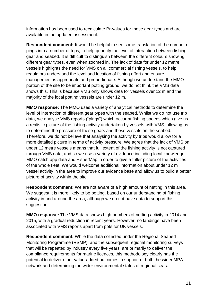information has been used to recalculate Pr-values for those gear types and are available in the updated assessment.

**Respondent comment:** It would be helpful to see some translation of the number of pings into a number of trips, to help quantify the level of interaction between fishing gear and seabed. It is difficult to distinguish between the different colours showing different gear types, even when zoomed in. The lack of data for under 12 metre vessels highlights the need for VMS on all commercial fishing vessels, to help regulators understand the level and location of fishing effort and ensure management is appropriate and proportionate. Although we understand the MMO portion of the site to be important potting ground, we do not think the VMS data shows this. This is because VMS only shows data for vessels over 12 m and the majority of the local potting vessels are under 12 m.

**MMO response:** The MMO uses a variety of analytical methods to determine the level of interaction of different gear types with the seabed. Whilst we do not use trip data, we analyse VMS reports ("pings") which occur at fishing speeds which give us a realistic picture of the fishing activity undertaken by vessels with VMS, allowing us to determine the pressure of these gears and these vessels on the seabed. Therefore, we do not believe that analysing the activity by trips would allow for a more detailed picture in terms of activity pressure. We agree that the lack of VMS on under 12 metre vessels means that full extent of the fishing activity is not captured through VMS data, and so we use a variety of evidence including local knowledge, MMO catch app data and FisherMap in order to give a fuller picture of the activities of the whole fleet. We would welcome additional information about under 12 m vessel activity in the area to improve our evidence base and allow us to build a better picture of activity within the site.

**Respondent comment:** We are not aware of a high amount of netting in this area. We suggest it is more likely to be potting, based on our understanding of fishing activity in and around the area, although we do not have data to support this suggestion.

**MMO response:** The VMS data shows high numbers of netting activity in 2014 and 2015, with a gradual reduction in recent years. However, no landings have been associated with VMS reports apart from pots for UK vessels.

**Respondent comment:** While the data collected under the Regional Seabed Monitoring Programme (RSMP), and the subsequent regional monitoring surveys that will be repeated by industry every five years, are primarily to deliver the compliance requirements for marine licences, this methodology clearly has the potential to deliver other value-added outcomes in support of both the wider MPA network and determining the wider environmental status of regional seas.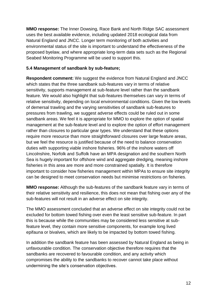**MMO response:** The Inner Dowsing, Race Bank and North Ridge SAC assessment uses the best available evidence, including updated 2018 ecological data from Natural England and JNCC. Longer term monitoring of both activities and environmental status of the site is important to understand the effectiveness of the proposed byelaw, and where appropriate long-term data sets such as the Regional Seabed Monitoring Programme will be used to support this.

#### **5.4 Management of sandbank by sub-feature;**

**Respondent comment:** We suggest the evidence from Natural England and JNCC which states that the three sandbank sub-features vary in terms of relative sensitivity, supports management at sub-feature level rather than the sandbank feature. We would also highlight that sub-features themselves can vary in terms of relative sensitivity, depending on local environmental conditions. Given the low levels of demersal trawling and the varying sensitivities of sandbank sub-features to pressures from trawling, we suggest adverse effects could be ruled out in some sandbank areas. We feel it is appropriate for MMO to explore the option of spatial management at the sub-feature level and to explore the option of effort management rather than closures to particular gear types. We understand that these options require more resource than more straightforward closures over large feature areas, but we feel the resource is justified because of the need to balance conservation duties with supporting viable inshore fisheries. 96% of the inshore waters off Lincolnshire, Norfolk and Suffolk have an MPA designation and the southern North Sea is hugely important for offshore wind and aggregate dredging, meaning inshore fisheries in this area are more and more constrained spatially. It is therefore important to consider how fisheries management within MPAs to ensure site integrity can be designed to meet conservation needs but minimise restrictions on fisheries.

**MMO response:** Although the sub-features of the sandbank feature vary in terms of their relative sensitivity and resilience, this does not mean that fishing over any of the sub-features will not result in an adverse effect on site integrity.

The MMO assessment concluded that an adverse effect on site integrity could not be excluded for bottom towed fishing over even the least sensitive sub-feature. In part this is because while the communities may be considered less sensitive at subfeature level, they contain more sensitive components, for example long lived epifauna or bivalves, which are likely to be impacted by bottom towed fishing.

In addition the sandbank feature has been assessed by Natural England as being in unfavourable condition. The conservation objective therefore requires that the sandbanks are recovered to favourable condition, and any activity which compromises the ability to the sandbanks to recover cannot take place without undermining the site's conservation objectives.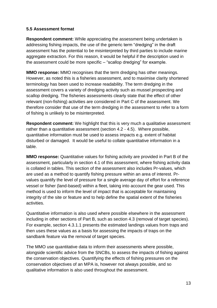#### **5.5 Assessment format**

**Respondent comment:** While appreciating the assessment being undertaken is addressing fishing impacts, the use of the generic term "dredging" in the draft assessment has the potential to be misinterpreted by third parties to include marine aggregate extraction. For this reason, it would be helpful if the description used in the assessment could be more specific – "scallop dredging" for example.

**MMO response:** MMO recognises that the term dredging has other meanings. However, as noted this is a fisheries assessment, and to maximise clarity shortened terminology has been used to increase readability. The term dredging in the assessment covers a variety of dredging activity such as mussel prospecting and scallop dredging. The fisheries assessments clearly state that the effect of other relevant (non-fishing) activities are considered in Part C of the assessment. We therefore consider that use of the term dredging in the assessment to refer to a form of fishing is unlikely to be misinterpreted.

**Respondent comment:** We highlight that this is very much a qualitative assessment rather than a quantitative assessment (section 4.2 - 4.5). Where possible, quantitative information must be used to assess impacts e.g. extent of habitat disturbed or damaged. It would be useful to collate quantitative information in a table.

**MMO response:** Quantitative values for fishing activity are provided in Part B of the assessment, particularly in section 4.1 of this assessment, where fishing activity data is collated in tables. This section of the assessment also includes Pr-values, which are used as a method to quantify fishing pressure within an area of interest. Prvalues quantify the level of pressure for a single average day of effort for a reference vessel or fisher (land-based) within a fleet, taking into account the gear used. This method is used to inform the level of impact that is acceptable for maintaining integrity of the site or feature and to help define the spatial extent of the fisheries activities.

Quantitative information is also used where possible elsewhere in the assessment including in other sections of Part B, such as section 4.3 (removal of target species). For example, section 4.3.1.1 presents the estimated landings values from traps and then uses these values as a basis for assessing the impacts of traps on the sandbank feature via the removal of target species.

The MMO use quantitative data to inform their assessments where possible, alongside scientific advice from the SNCBs, to assess the impacts of fishing against the conservation objectives. Quantifying the effects of fishing pressures on the conservation objectives of an MPA is, however not always possible, and so qualitative information is also used throughout the assessment.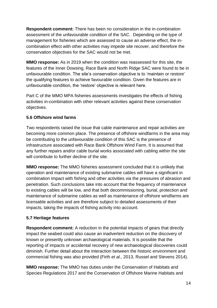**Respondent comment:** There has been no consideration in the in-combination assessment of the unfavourable condition of the SAC. Depending on the type of management for fisheries which are assessed to cause an adverse effect, the incombination effect with other activities may impede site recover, and therefore the conservation objectives for the SAC would not be met.

**MMO response:** As in 2019 when the condition was reassessed for this site, the features of the Inner Dowsing, Race Bank and North Ridge SAC were found to be in unfavourable condition. The site's conservation objective is to 'maintain or restore' the qualifying features to achieve favourable condition. Given the features are in unfavourable condition, the 'restore' objective is relevant here.

Part C of the MMO MPA fisheries assessments investigates the effects of fishing activities in-combination with other relevant activities against these conservation objectives.

# **5.6 Offshore wind farms**

Two respondents raised the issue that cable maintenance and repair activities are becoming more common place. The presence of offshore windfarms in the area may be contributing to the unfavourable condition of this SAC is the presence of infrastructure associated with Race Bank Offshore Wind Farm. It is assumed that any further repairs and/or cable burial works associated with cabling within the site will contribute to further decline of the site.

**MMO response:** The MMO fisheries assessment concluded that it is unlikely that operation and maintenance of existing submarine cables will have a significant in combination impact with fishing and other activities via the pressures of abrasion and penetration. Such conclusions take into account that the frequency of maintenance to existing cables will be low, and that both decommissioning, burial, protection and maintenance of submarine cables as well as maintenance of offshore windfarms are licensable activities and are therefore subject to detailed assessments of their impacts, taking the impacts of fishing activity into account.

# **5.7 Heritage features**

**Respondent comment:** A reduction in the potential impacts of gears that directly impact the seabed could also cause an inadvertent reduction on the discovery of known or presently unknown archaeological materials. It is possible that the reporting of impacts or accidental recovery of new archaeological discoveries could diminish. Further detail about the interaction between the historic environment and commercial fishing was also provided (Firth *et al.,* 2013, Russel and Stevens 2014).

**MMO response:** The MMO has duties under the Conservation of Habitats and Species Regulations 2017 and the Conservation of Offshore Marine Habitats and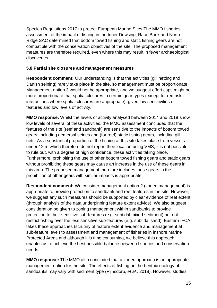Species Regulations 2017 to protect European Marine Sites The MMO fisheries assessment of the impact of fishing in the Inner Dowsing, Race Bank and North Ridge SAC determined that bottom towed fishing and static fishing gears are not compatible with the conservation objectives of the site. The proposed management measures are therefore required, even where this may result in fewer archaeological discoveries.

#### **5.8 Partial site closures and management measures**

**Respondent comment:** Our understanding is that the activities (gill netting and Danish seining) rarely take place in the site, so management must be proportionate. Management option 3 would not be appropriate, and we suggest effort caps might be more proportionate that spatial closures to certain gear types (except for red risk interactions where spatial closures are appropriate), given low sensitivities of features and low levels of activity.

**MMO response:** Whilst the levels of activity analysed between 2014 and 2019 show low levels of several of these activities, the MMO assessment concluded that the features of the site (reef and sandbank) are sensitive to the impacts of bottom towed gears, including demersal seines and (for reef) static fishing gears, including gill nets. As a substantial proportion of the fishing at this site takes place from vessels under 12 m which therefore do not report their location using VMS, it is not possible to rule out, with a degree of high confidence, these activities taking place. Furthermore, prohibiting the use of other bottom towed fishing gears and static gears without prohibiting these gears may cause an increase in the use of these gears in this area. The proposed management therefore includes these gears in the prohibition of other gears with similar impacts is appropriate.

**Respondent comment:** We consider management option 2 (zoned management) is appropriate to provide protection to sandbank and reef features in the site. However, we suggest any such measures should be supported by clear evidence of reef extent (through analysis of the data underpinning feature extent advice). We also suggest consideration be given to zoning management within sandbanks to provide protection to their sensitive sub-features (e.g. subtidal mixed sediment) but not restrict fishing over the less sensitive sub-features (e.g. subtidal sand). Eastern IFCA takes these approaches (scrutiny of feature extent evidence and management at sub-feature level) to assessment and management of fisheries in inshore Marine Protected Areas and although it is time consuming, we believe this approach enables us to achieve the best possible balance between fisheries and conservation needs.

**MMO response:** The MMO also concluded that a zoned approach is an appropriate management option for the site. The effects of fishing on the benthic ecology of sandbanks may vary with sediment type (Rijnsdorp, *et al.,* 2018). However, studies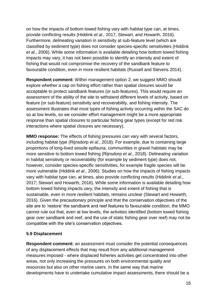on how the impacts of bottom towed fishing vary with habitat type can, at times, provide conflicting results (Hiddink *et al.,* 2017, Stewart, and Howarth, 2016). Furthermore, delineating variation in sensitivity at sub-feature level (which are classified by sediment type) does not consider species-specific sensitivities (Hiddink *et al*., 2006). While some information is available detailing how bottom towed fishing impacts may vary, it has not been possible to identify an intensity and extent of fishing that would not compromise the recovery of the sandbank feature to favourable condition, even in more resilient habitats (Russell and Stevens 2014).

**Respondent comment:** Within management option 2, we suggest MMO should explore whether a cap on fishing effort rather than spatial closures would be acceptable to protect sandbank features (or sub-features). This would require an assessment of the ability of the site to withstand different levels of activity, based on feature (or sub-feature) sensitivity and recoverability, and fishing intensity. The assessment illustrates that most types of fishing activity occurring within the SAC do so at low levels, so we consider effort management might be a more appropriate response than spatial closures to particular fishing gear types (except for red risk interactions where spatial closures are necessary).

**MMO response:** The effects of fishing pressures can vary with several factors, including habitat type (Rijnsdorp *et al*., 2018). For example, due to containing large proportions of long-lived sessile epifauna, communities in gravel habitats may be more sensitive to bottom towed fishing (Rijnsdorp *et al*., 2018). Delineating variation in habitat sensitivity or recoverability (for example by sediment type) does not, however, consider species-specific sensitivities, for example fragile species will be more vulnerable (Hiddink *et al*., 2006). Studies on how the impacts of fishing impacts vary with habitat type can, at times, also provide conflicting results (Hiddink *et al*., 2017; Stewart and Howarth, 2016). While some information is available detailing how bottom towed fishing impacts vary, the intensity and extent of fishing that is sustainable, even in more resilient habitats, remains unclear (Stewart and Howarth, 2016). Given the precautionary principle and that the conservation objectives of the site are to 'restore' the sandbank and reef features to favourable condition, the MMO cannot rule out that, even at low levels, the activities identified (bottom towed fishing gear over sandbank and reef, and the use of static fishing gear over reef) may not be compatible with the site's conservation objectives.

#### **5.9 Displacement**

**Respondent comment:** an assessment must consider the potential consequences of any displacement effects that may result from any additional management measures imposed - where displaced fisheries activities get concentrated into other areas, not only increasing the pressures on both environmental quality and resources but also on other marine users. In the same way that marine developments have to undertake cumulative impact assessments, there should be a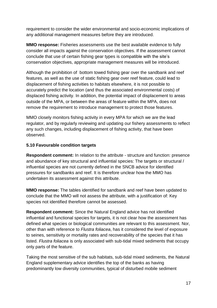requirement to consider the wider environmental and socio-economic implications of any additional management measures before they are introduced.

**MMO response:** Fisheries assessments use the best available evidence to fully consider all impacts against the conservation objectives. If the assessment cannot conclude that use of certain fishing gear types is compatible with the site's conservation objectives, appropriate management measures will be introduced.

Although the prohibition of bottom towed fishing gear over the sandbank and reef features, as well as the use of static fishing gear over reef feature, could lead to displacement of fishing activities to habitats elsewhere, it is not possible to accurately predict the location (and thus the associated environmental costs) of displaced fishing activity. In addition, the potential impact of displacement to areas outside of the MPA, or between the areas of feature within the MPA, does not remove the requirement to introduce management to protect those features.

MMO closely monitors fishing activity in every MPA for which we are the lead regulator, and by regularly reviewing and updating our fishery assessments to reflect any such changes, including displacement of fishing activity, that have been observed.

#### **5.10 Favourable condition targets**

**Respondent comment:** In relation to the attribute - structure and function: presence and abundance of key structural and influential species: The targets or structural / influential species are not currently defined in the SNCB advice for identified pressures for sandbanks and reef. It is therefore unclear how the MMO has undertaken its assessment against this attribute.

**MMO response:** The tables identified for sandbank and reef have been updated to conclude that the MMO will not assess the attribute, with a justification of: Key species not identified therefore cannot be assessed.

**Respondent comment:** Since the Natural England advice has not identified influential and functional species for targets, it is not clear how the assessment has defined what species or biological communities are relevant to this assessment. Nor, other than with reference to *Flustra foliacea*, has it considered the level of exposure to seines, sensitivity or mortality rates and recoverability of the species that it has listed. *Flustra foliacea* is only associated with sub-tidal mixed sediments that occupy only parts of the feature.

Taking the most sensitive of the sub habitats, sub-tidal mixed sediments, the Natural England supplementary advice identifies the top of the banks as having predominantly low diversity communities, typical of disturbed mobile sediment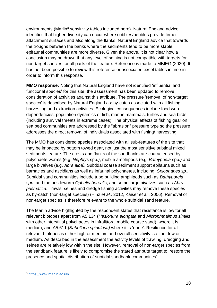environments (Marlin<sup>3</sup> sensitivity tables included here). Natural England advice identifies that higher diversity can occur where cobbles/pebbles provide firmer attachment surfaces and also along the flanks. Natural England advice that towards the troughs between the banks where the sediments tend to be more stable, epifaunal communities are more diverse. Given the above, it is not clear how a conclusion may be drawn that any level of seining is not compatible with targets for non-target species for all parts of the feature. Reference is made to MBIEG (2020). It has not been possible to review this reference or associated excel tables in time in order to inform this response.

**MMO response:** Noting that Natural England have not identified 'influential and functional species' for this site, the assessment has been updated to remove consideration of activities against this attribute. The pressure 'removal of non-target species' is described by Natural England as: by-catch associated with all fishing, harvesting and extraction activities. Ecological consequences include food web dependencies, population dynamics of fish, marine mammals, turtles and sea birds (including survival threats in extreme cases). The physical effects of fishing gear on sea bed communities are addressed by the "abrasion" pressure type so the pressure addresses the direct removal of individuals associated with fishing/ harvesting.

The MMO has considered species associated with all sub-features of the site that may be impacted by bottom towed gear, not just the most sensitive subtidal mixed sediments feature. The crests and flanks of the sandbanks are characterised by polychaete worms (e.g. *Nephtys* spp*.)*, mobile amphipods (e.g. *Bathypoeia* spp*.)* and large bivalves (e.g. *Abra alba).* Subtidal coarse sediment support epifauna such as barnacles and ascidians as well as infaunal polychaetes, including, *Spiophanes sp.*. Subtidal sand communities include tube building amphipods such as *Bathyporeia spp.* and the bristleworm *Ophelia borealis*, and some large bivalves such as *Abra prismatica*. Trawls, seines and dredge fishing activities may remove these species as by-catch (non-target species) (Hinz *et al.,* 2012, Kaiser *et al.,* 2006). Removal of non-target species is therefore relevant to the whole subtidal sand feature.

The Marlin advice highlighted by the respondent states that resistance is low for all relevant biotopes apart from A5.134 (*Hesionura elongata* and *Microphthalmus similis* with other interstitial polychaetes in infralittoral mobile coarse sand), where it is medium, and A5.611 (*Sabellaria spinulosa)* where it is 'none'. Resilience for all relevant biotopes is either high or medium and overall sensitivity is either low or medium. As described in the assessment the activity levels of trawling, dredging and seines are relatively low within the site. However, removal of non-target species from the sandbank feature is likely to compromise the stated attribute target to 'restore the presence and spatial distribution of subtidal sandbank communities'.

l

<sup>3</sup> <https://www.marlin.ac.uk/>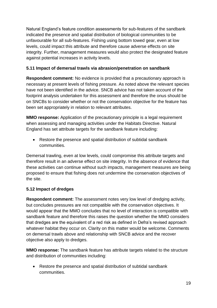Natural England's feature condition assessments for sub-features of the sandbank indicated the presence and spatial distribution of biological communities to be unfavourable for all sub-features. Fishing using bottom towed gear, even at low levels, could impact this attribute and therefore cause adverse effects on site integrity. Further, management measures would also protect the designated feature against potential increases in activity levels.

# **5.11 Impact of demersal trawls via abrasion/penetration on sandbank**

**Respondent comment:** No evidence is provided that a precautionary approach is necessary at present levels of fishing pressure. As noted above the relevant species have not been identified in the advice. SNCB advice has not taken account of the footprint analysis undertaken for this assessment and therefore the onus should be on SNCBs to consider whether or not the conservation objective for the feature has been set appropriately in relation to relevant attributes.

**MMO response:** Application of the precautionary principle is a legal requirement when assessing and managing activities under the Habitats Directive. Natural England has set attribute targets for the sandbank feature including:

• Restore the presence and spatial distribution of subtidal sandbank communities.

Demersal trawling, even at low levels, could compromise this attribute targets and therefore result in an adverse effect on site integrity. In the absence of evidence that these activities can continue without such impacts, management measures are being proposed to ensure that fishing does not undermine the conservation objectives of the site.

# **5.12 Impact of dredges**

**Respondent comment:** The assessment notes very low level of dredging activity, but concludes pressures are not compatible with the conservation objectives. It would appear that the MMO concludes that no level of interaction is compatible with sandbank feature and therefore this raises the question whether the MMO considers that dredges are the equivalent of a red risk as defined in Defra's revised approach whatever habitat they occur on. Clarity on this matter would be welcome. Comments on demersal trawls above and relationship with SNCB advice and the recover objective also apply to dredges.

**MMO response:** The sandbank feature has attribute targets related to the structure and distribution of communities including:

 Restore the presence and spatial distribution of subtidal sandbank communities.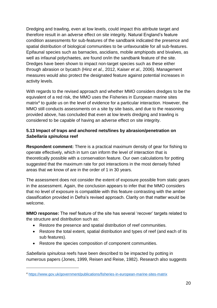Dredging and trawling, even at low levels, could impact this attribute target and therefore result in an adverse effect on site integrity. Natural England's feature condition assessments for sub-features of the sandbank indicated the presence and spatial distribution of biological communities to be unfavourable for all sub-features. Epifaunal species such as barnacles, ascidians, mobile amphipods and bivalves, as well as infaunal polychaetes, are found on/in the sandbank feature of the site. Dredges have been shown to impact non-target species such as these either through abrasion or bycatch (Hinz *et al.,* 2012, Kaiser *et al.,* 2006). Management measures would also protect the designated feature against potential increases in activity levels.

<span id="page-19-0"></span>With regards to the revised approach and whether MMO considers dredges to be the equivalent of a red risk, the MMO uses the Fisheries in European marine sites matrix 4 to guide us on the level of evidence for a particular interaction. However, the MMO still conducts assessments on a site by site basis, and due to the reasoning provided above, has concluded that even at low levels dredging and trawling is considered to be capable of having an adverse effect on site integrity.

## **5.13 Impact of traps and anchored nets/lines by abrasion/penetration on**  *Sabellaria spinulosa* **reef**

**Respondent comment:** There is a practical maximum density of gear for fishing to operate effectively, which in turn can inform the level of interaction that is theoretically possible with a conservation feature. Our own calculations for potting suggested that the maximum rate for pot interactions in the most densely fished areas that we know of are in the order of 1 in 30 years.

The assessment does not consider the extent of exposure possible from static gears in the assessment. Again, the conclusion appears to infer that the MMO considers that no level of exposure is compatible with this feature contrasting with the amber classification provided in Defra's revised approach. Clarity on that matter would be welcome.

**MMO response:** The reef feature of the site has several 'recover' targets related to the structure and distribution such as:

- Restore the presence and spatial distribution of reef communities.
- Restore the total extent, spatial distribution and types of reef (and each of its sub features).
- Restore the species composition of component communities.

*Sabellaria spinulosa* reefs have been described to be impacted by potting in numerous papers (Jones, 1999, Reisen and Reise, 1982). Research also suggests

l

<sup>4</sup> <https://www.gov.uk/government/publications/fisheries-in-european-marine-sites-matrix>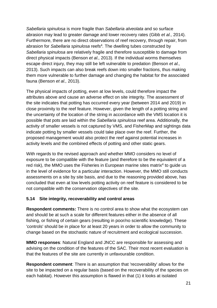*Sabellaria spinulosa* is more fragile than *Sabellaria alveolata* and so surface abrasion may lead to greater damage and lower recovery rates (Gibb *et al.,* 2014). Furthermore, there are no direct observations of reef recovery, through repair, from abrasion for *Sabellaria spinulosa* reefs[4](#page-19-0) *.* The dwelling tubes constructed by *Sabellaria spinulosa* are relatively fragile and therefore susceptible to damage from direct physical impacts (Benson *et al.,* 2013). If the individual worms themselves escape direct injury, they may still be left vulnerable to predation (Benson *et al.,* 2013). Such impacts can also break reefs down into smaller fractions, thus making them more vulnerable to further damage and changing the habitat for the associated fauna (Benson *et al.,* 2013).

The physical impacts of potting, even at low levels, could therefore impact the attributes above and cause an adverse effect on site integrity. The assessment of the site indicates that potting has occurred every year (between 2014 and 2019) in close proximity to the reef feature. However, given the length of a potting string and the uncertainty of the location of the string in accordance with the VMS location it is possible that pots are laid within the *Sabellaria spinulosa* reef area. Additionally, the activity of smaller vessels is not captured by VMS, and FisherMap and sightings data indicate potting by smaller vessels could take place over the reef. Further, the proposed management would also protect the reef against potential increases in activity levels and the combined effects of potting and other static gears.

With regards to the revised approach and whether MMO considers no level of exposure to be compatible with the feature (and therefore to be the equivalent of a red risk), the MMO uses the Fisheries in European marine sites matrix<sup>[4](#page-19-0)</sup> to guide us in the level of evidence for a particular interaction. However, the MMO still conducts assessments on a site by site basis, and due to the reasoning provided above, has concluded that even at low levels potting activity on reef feature is considered to be not compatible with the conservation objectives of the site.

#### **5.14 Site integrity, recoverability and control areas**

**Respondent comments:** There is no control area to show what the ecosystem can and should be at such a scale for different features either in the absence of all fishing, or fishing of certain gears (resulting in poor/no scientific knowledge). These 'controls' should be in place for at least 20 years in order to allow the community to change based on the stochastic nature of recruitment and ecological succession.

**MMO responses**: Natural England and JNCC are responsible for assessing and advising on the condition of the features of the SAC. Their most recent evaluation is that the features of the site are currently in unfavourable condition.

**Respondent comment**: There is an assumption that 'recoverability' allows for the site to be impacted on a regular basis (based on the recoverability of the species on each habitat). However this assumption is flawed in that (1) it looks at isolated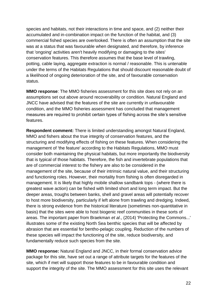species and habitats, not their interactions in time and space, and (2) neither their accumulated and in-combination impact on the function of the habitat, and (3) commercial fished species are overlooked. There is often an assumption that the site was at a status that was favourable when designated, and therefore, by inference that 'ongoing' activities aren't heavily modifying or damaging to the sites' conservation features. This therefore assumes that the base level of trawling, potting, cable laying, aggregate extraction is normal / reasonable. This is untenable under the terms of the Habitats Regulations that should discount reasonable doubt of a likelihood of ongoing deterioration of the site, and of favourable conservation status.

**MMO response**: The MMO fisheries assessment for this site does not rely on an assumptions set out above around recoverability or condition. Natural England and JNCC have advised that the features of the site are currently in unfavourable condition, and the MMO fisheries assessment has concluded that management measures are required to prohibit certain types of fishing across the site's sensitive features.

**Respondent comment:** There is limited understanding amongst Natural England, MMO and fishers about the true integrity of conservation features, and the structuring and modifying effects of fishing on these features. When considering the management of 'the feature' according to the Habitats Regulations, MMO must consider both maintaining the physical habitats, but more importantly the biodiversity that is typical of those habitats. Therefore, the fish and invertebrate populations that are of commercial interest to the fishery are also to be considered in the management of the site, because of their intrinsic natural value, and their structuring and functioning roles. However, their mortality from fishing is often disregarded in management. It is likely that highly mobile shallow sandbank tops - (where there is greatest wave action) can be fished with limited short and long term impact. But the deeper areas, troughs between banks, shell and gravel areas will potentially recover to host more biodiversity, particularly if left alone from trawling and dredging. Indeed, there is strong evidence from the historical literature (sometimes non-quantitative in basis) that the sites were able to host biogenic reef communities in these sorts of areas. The important paper from Braekman *et al*., (2014) 'Protecting the Commons...' illustrates some of the existing North Sea benthic species that will be affected by abrasion that are essential for bentho-pelagic coupling. Reduction of the numbers of these species will impact the functioning of the site, reduce biodiversity, and fundamentally reduce such species from the site.

**MMO response:** Natural England and JNCC, in their formal conservation advice package for this site, have set out a range of attribute targets for the features of the site, which if met will support those features to be in favourable condition and support the integrity of the site. The MMO assessment for this site uses the relevant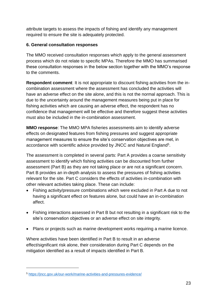attribute targets to assess the impacts of fishing and identify any management required to ensure the site is adequately protected.

## **6. General consultation responses**

The MMO received consultation responses which apply to the general assessment process which do not relate to specific MPAs. Therefore the MMO has summarised these consultation responses in the below section together with the MMO's response to the comments.

**Respondent comment**: It is not appropriate to discount fishing activities from the incombination assessment where the assessment has concluded the activities will have an adverse effect on the site alone, and this is not the normal approach. This is due to the uncertainty around the management measures being put in place for fishing activities which are causing an adverse effect, the respondent has no confidence that management will be effective and therefore suggest these activities must also be included in the in-combination assessment.

**MMO response**: The MMO MPA fisheries assessments aim to identify adverse effects on designated features from fishing pressures and suggest appropriate management measures to ensure the site's conservation objectives are met, in accordance with scientific advice provided by JNCC and Natural England<sup>5</sup>.

<span id="page-22-0"></span>The assessment is completed in several parts: Part A provides a coarse sensitivity assessment to identify which fishing activities can be discounted from further assessment (Part B) as they are not taking place or are not a significant concern. Part B provides an in-depth analysis to assess the pressures of fishing activities relevant for the site. Part C considers the effects of activities in-combination with other relevant activities taking place. These can include:

- Fishing activity/pressure combinations which were excluded in Part A due to not having a significant effect on features alone, but could have an in-combination affect.
- Fishing interactions assessed in Part B but not resulting in a significant risk to the site's conservation objectives or an adverse effect on site integrity.
- Plans or projects such as marine development works requiring a marine licence.

Where activities have been identified in Part B to result in an adverse effect/significant risk alone, their consideration during Part C depends on the mitigation identified as a result of impacts identified in Part B.

l

<sup>5</sup> https://jncc.gov.uk/our-work/marine-activities-and-pressures-evidence/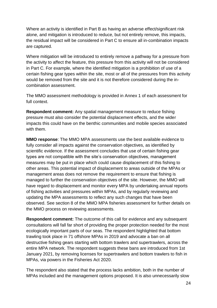Where an activity is identified in Part B as having an adverse effect/significant risk alone, and mitigation is introduced to reduce, but not entirely remove, this impacts, the residual impact will be considered in Part C to ensure all in-combination impacts are captured.

Where mitigation will be introduced to entirely remove a pathway for a pressure from the activity to affect the feature, this pressure from this activity will not be considered in Part C. For example, where the identified mitigation is a prohibition of use of a certain fishing gear types within the site, most or all of the pressures from this activity would be removed from the site and it is not therefore considered during the incombination assessment.

The MMO assessment methodology is provided in Annex 1 of each assessment for full context.

**Respondent comment:** Any spatial management measure to reduce fishing pressure must also consider the potential displacement effects, and the wider impacts this could have on the benthic communities and mobile species associated with them.

**MMO response**: The MMO MPA assessments use the best available evidence to fully consider all impacts against the conservation objectives, as identified by scientific evidence. If the assessment concludes that use of certain fishing gear types are not compatible with the site's conservation objectives, management measures may be put in place which could cause displacement of this fishing to other areas. This potential impact of displacement to areas outside of the MPAs or management areas does not remove the requirement to ensure that fishing is managed to further the conservation objectives of the site. However, the MMO will have regard to displacement and monitor every MPA by undertaking annual reports of fishing activities and pressures within MPAs, and by regularly reviewing and updating the MPA assessments to reflect any such changes that have been observed. See section 8 of the MMO MPA fisheries assessment for further details on the MMO process on reviewing assessments.

**Respondent comment:** The outcome of this call for evidence and any subsequent consultations will fall far short of providing the proper protection needed for the most ecologically important parts of our seas. The respondent highlighted that bottom trawling took place in 71 offshore MPAs in 2019 and advocate a ban on all destructive fishing gears starting with bottom trawlers and supertrawlers, across the entire MPA network. The respondent suggests these bans are introduced from 1st January 2021, by removing licenses for supertrawlers and bottom trawlers to fish in MPAs, via powers in the Fisheries Act 2020.

The respondent also stated that the process lacks ambition, both in the number of MPAs included and the management options proposed. It is also unnecessarily slow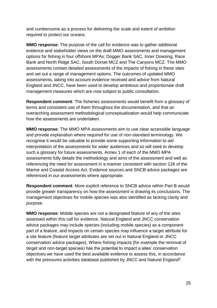and cumbersome as a process for delivering the scale and extent of ambition required to protect our oceans.

**MMO response**: The purpose of the call for evidence was to gather additional evidence and stakeholder views on the draft MMO assessments and management options for fishing in four offshore MPAs: Dogger Bank SAC, Inner Dowsing, Race Bank and North Ridge SAC, South Dorset MCZ and The Canyons MCZ. The MMO assessments contain detailed assessments of the impacts of fishing in these sites and set out a range of management options. The outcomes of updated MMO assessments, taking into account evidence received and advice from Natural England and JNCC, have been used to develop ambitious and proportionate draft management measures which are now subject to public consultation.

**Respondent comment**: The fisheries assessments would benefit from a glossary of terms and consistent use of them throughout the documentation, and that an overarching assessment methodological conceptualisation would help communicate how the assessments are undertaken.

**MMO response**: The MMO MPA assessments aim to use clear accessible language and provide explanation where required for use of non-standard terminology. We recognise it would be valuable to provide some supporting information to aid interpretation of the assessments for wider audiences and so will seek to develop such a glossary for future assessments. Annex 1 of each of the MMO MPA assessments fully details the methodology and aims of the assessment and well as referencing the need for assessment in a manner consistent with section 126 of the Marine and Coastal Access Act. Evidence sources and SNCB advice packages are referenced in our assessments where appropriate.

**Respondent comment**: More explicit reference to SNCB advice within Part B would provide greater transparency on how the assessment is drawing its conclusions. The management objectives for mobile species was also identified as lacking clarity and purpose.

**MMO response**: Mobile species are not a designated feature of any of the sites assessed within this call for evidence. Natural England and JNCC conservation advice packages may include species (including mobile species) as a component part of a feature, and impacts on certain species may influence a target attribute for a site feature (feature target attributes are set out in Natural England or JNCC conservation advice packages). Where fishing impacts (for example the removal of target and non-target species) has the potential to impact a sites' conservation objectives we have used the best available evidence to assess this, in accordance with the pressures activities database published by JNCC and Natural England<sup>[5](#page-22-0)</sup>.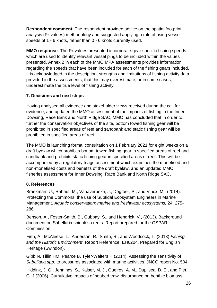**Respondent comment**: The respondent provided advice on the spatial footprint analysis (Pr-values) methodology and suggested applying a rule of using vessel speeds of 1 - 6 knots, rather than 0 - 6 knots currently used.

**MMO response**: The Pr-values presented incorporate gear specific fishing speeds which are used to identify relevant vessel pings to be included within the values presented. Annex 2 in each of the MMO MPA assessments provides information regarding the speeds that have been included for each of the fishing gears included. It is acknowledged in the description, strengths and limitations of fishing activity data provided in the assessments, that this may overestimate, or in some cases, underestimate the true level of fishing activity.

# **7. Decisions and next steps**

Having analysed all evidence and stakeholder views received during the call for evidence, and updated the MMO assessment of the impacts of fishing in the Inner Dowsing, Race Bank and North Ridge SAC, MMO has concluded that in order to further the conservation objectives of the site, bottom towed fishing gear will be prohibited in specified areas of reef and sandbank and static fishing gear will be prohibited in specified areas of reef.

The MMO is launching formal consultation on 1 February 2021 for eight weeks on a draft byelaw which prohibits bottom towed fishing gear in specified areas of reef and sandbank and prohibits static fishing gear in specified areas of reef. This will be accompanied by a regulatory triage assessment which examines the monetised and non-monetised costs and benefits of the draft byelaw, and an updated MMO fisheries assessment for Inner Dowsing, Race Bank and North Ridge SAC.

# **8. References**

Braekman, U., Rabaut, M., Vanaverbeke, J., Degraer, S., and Vincx, M., (2014). Protecting the Commons: the use of Subtidal Ecosystem Engineers in Marine Management. *Aquatic conservation: marine and freshwater ecosystems,* 24, 275- 286.

Benson, A., Foster-Smith, B., Gubbay, S., and Hendrick, V., (2013). Background document on Sabellaria spinulosa reefs. Report prepared for the OSPAR Commission.

Firth, A., McAleese, L., Anderson, R., Smith, R., and Woodcock, T. (2013) *Fishing and the Historic Environment*. Report Reference: EH6204. Prepared for English Heritage (Swindon).

Gibb N, Tillin HM, Pearce B, Tyler-Walters H (2014). Assessing the sensitivity of *Sabellaria spp.* to pressures associated with marine activities. JNCC report No. 504.

Hiddink, J. G., Jennings, S., Kaiser, M. J., Queiros, A. M., Duplisea, D. E., and Piet, G. J (2006). Cumulative impacts of seabed trawl disturbance on benthic biomass,